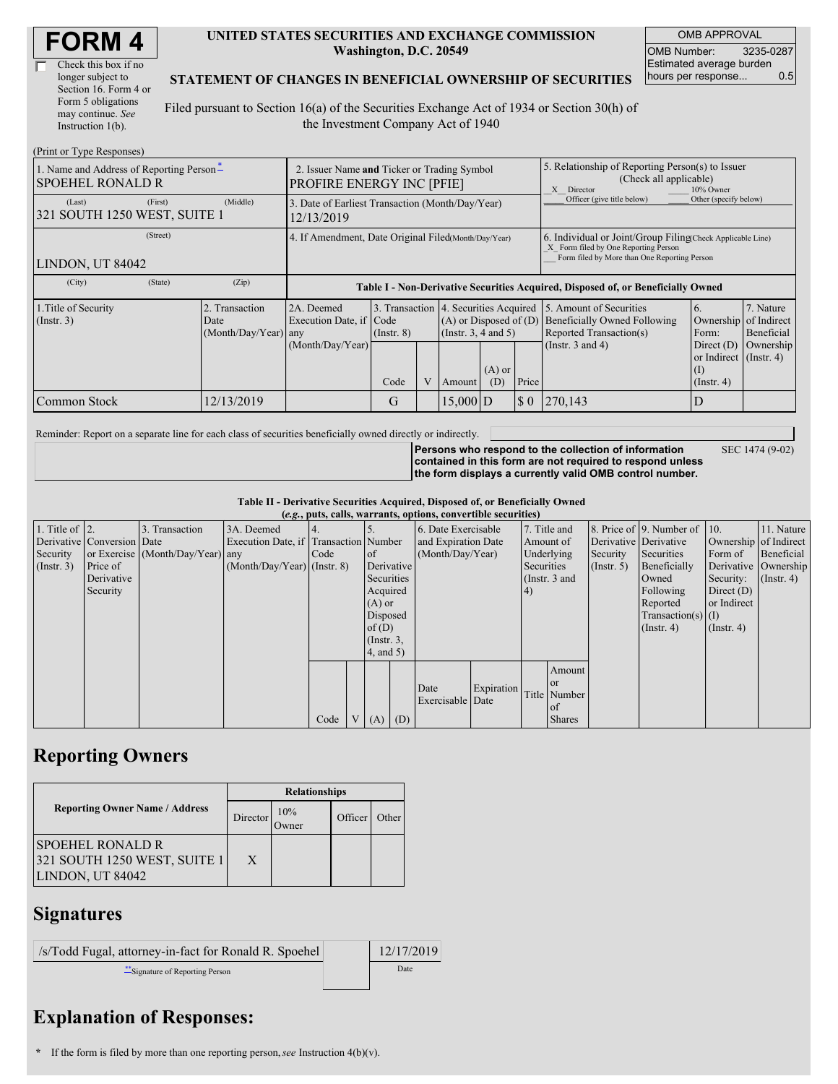| Check this box if no  |
|-----------------------|
| longer subject to     |
| Section 16. Form 4 or |
| Form 5 obligations    |
| may continue. See     |
| Instruction 1(b).     |

#### **UNITED STATES SECURITIES AND EXCHANGE COMMISSION Washington, D.C. 20549**

OMB APPROVAL OMB Number: 3235-0287 Estimated average burden hours per response... 0.5

### **STATEMENT OF CHANGES IN BENEFICIAL OWNERSHIP OF SECURITIES**

Filed pursuant to Section 16(a) of the Securities Exchange Act of 1934 or Section 30(h) of the Investment Company Act of 1940

| (Print or Type Responses)                                           |                                                                                 |                                                |                                                                                  |                 |   |                                                                                            |                                                                                                       |                                                                                                                                                    |                                                                                                                                                                                                                       |                                            |  |
|---------------------------------------------------------------------|---------------------------------------------------------------------------------|------------------------------------------------|----------------------------------------------------------------------------------|-----------------|---|--------------------------------------------------------------------------------------------|-------------------------------------------------------------------------------------------------------|----------------------------------------------------------------------------------------------------------------------------------------------------|-----------------------------------------------------------------------------------------------------------------------------------------------------------------------------------------------------------------------|--------------------------------------------|--|
| 1. Name and Address of Reporting Person-<br><b>SPOEHEL RONALD R</b> | 2. Issuer Name and Ticker or Trading Symbol<br><b>PROFIRE ENERGY INC [PFIE]</b> |                                                |                                                                                  |                 |   |                                                                                            | 5. Relationship of Reporting Person(s) to Issuer<br>(Check all applicable)<br>10% Owner<br>X Director |                                                                                                                                                    |                                                                                                                                                                                                                       |                                            |  |
| (First)<br>(Last)<br>321 SOUTH 1250 WEST, SUITE 1                   | 3. Date of Earliest Transaction (Month/Day/Year)<br>12/13/2019                  |                                                |                                                                                  |                 |   |                                                                                            | Officer (give title below)                                                                            | Other (specify below)                                                                                                                              |                                                                                                                                                                                                                       |                                            |  |
| (Street)<br>LINDON, UT 84042                                        |                                                                                 |                                                | 4. If Amendment, Date Original Filed(Month/Day/Year)                             |                 |   |                                                                                            |                                                                                                       | 6. Individual or Joint/Group Filing Check Applicable Line)<br>X Form filed by One Reporting Person<br>Form filed by More than One Reporting Person |                                                                                                                                                                                                                       |                                            |  |
| (City)                                                              | (State)                                                                         | (Zip)                                          | Table I - Non-Derivative Securities Acquired, Disposed of, or Beneficially Owned |                 |   |                                                                                            |                                                                                                       |                                                                                                                                                    |                                                                                                                                                                                                                       |                                            |  |
| 1. Title of Security<br>$($ Instr. 3 $)$                            |                                                                                 | 2. Transaction<br>Date<br>(Month/Day/Year) any | 2A. Deemed<br>Execution Date, if Code<br>(Month/Day/Year)                        | $($ Instr. $8)$ |   | 3. Transaction 4. Securities Acquired<br>$(A)$ or Disposed of $(D)$<br>(Instr. 3, 4 and 5) |                                                                                                       |                                                                                                                                                    | 5. Amount of Securities<br>7. Nature<br>6.<br><b>Beneficially Owned Following</b><br>Ownership<br>of Indirect<br>Reported Transaction(s)<br>Form:<br>Beneficial<br>(Instr. $3$ and $4$ )<br>Direct $(D)$<br>Ownership |                                            |  |
|                                                                     |                                                                                 |                                                |                                                                                  | Code            | V | Amount                                                                                     | $(A)$ or<br>(D)                                                                                       | Price                                                                                                                                              |                                                                                                                                                                                                                       | or Indirect (Instr. 4)<br>$($ Instr. 4 $)$ |  |
| Common Stock                                                        |                                                                                 | 12/13/2019                                     |                                                                                  | G               |   | $15,000$ D                                                                                 |                                                                                                       | $\sqrt{5}0$                                                                                                                                        | 270,143                                                                                                                                                                                                               | D                                          |  |

Reminder: Report on a separate line for each class of securities beneficially owned directly or indirectly.

SEC 1474 (9-02)

**Persons who respond to the collection of information contained in this form are not required to respond unless the form displays a currently valid OMB control number.**

**Table II - Derivative Securities Acquired, Disposed of, or Beneficially Owned**

| (e.g., puts, calls, warrants, options, convertible securities) |                            |                                  |                                       |      |  |                 |     |                          |            |               |               |                  |                              |                       |                      |
|----------------------------------------------------------------|----------------------------|----------------------------------|---------------------------------------|------|--|-----------------|-----|--------------------------|------------|---------------|---------------|------------------|------------------------------|-----------------------|----------------------|
| 1. Title of $\vert$ 2.                                         |                            | 3. Transaction                   | 3A. Deemed                            |      |  |                 |     | 6. Date Exercisable      |            |               | 7. Title and  |                  | 8. Price of 9. Number of 10. |                       | 11. Nature           |
|                                                                | Derivative Conversion Date |                                  | Execution Date, if Transaction Number |      |  |                 |     | and Expiration Date      |            | Amount of     |               |                  | Derivative Derivative        | Ownership of Indirect |                      |
| Security                                                       |                            | or Exercise (Month/Day/Year) any |                                       | Code |  | of              |     | (Month/Day/Year)         |            | Underlying    |               | Security         | Securities                   | Form of               | Beneficial           |
| $($ Instr. 3 $)$                                               | Price of                   |                                  | $(Month/Day/Year)$ (Instr. 8)         |      |  | Derivative      |     |                          |            | Securities    |               | $($ Instr. 5 $)$ | Beneficially                 |                       | Derivative Ownership |
|                                                                | Derivative                 |                                  |                                       |      |  | Securities      |     |                          |            | (Instr. 3 and |               |                  | Owned                        | Security:             | $($ Instr. 4 $)$     |
|                                                                | Security                   |                                  |                                       |      |  | Acquired        |     |                          |            | 4)            |               |                  | Following                    | Direct $(D)$          |                      |
|                                                                |                            |                                  |                                       |      |  | $(A)$ or        |     |                          |            |               |               |                  | Reported                     | or Indirect           |                      |
|                                                                |                            |                                  |                                       |      |  | Disposed        |     |                          |            |               |               |                  | $Transaction(s)$ (I)         |                       |                      |
|                                                                |                            |                                  |                                       |      |  | of $(D)$        |     |                          |            |               |               |                  | $($ Instr. 4)                | $($ Instr. 4 $)$      |                      |
|                                                                |                            |                                  |                                       |      |  | $($ Instr. $3,$ |     |                          |            |               |               |                  |                              |                       |                      |
|                                                                |                            |                                  |                                       |      |  | $4$ , and $5$ ) |     |                          |            |               |               |                  |                              |                       |                      |
|                                                                |                            |                                  |                                       |      |  |                 |     |                          |            |               | Amount        |                  |                              |                       |                      |
|                                                                |                            |                                  |                                       |      |  |                 |     |                          |            |               | <sub>or</sub> |                  |                              |                       |                      |
|                                                                |                            |                                  |                                       |      |  |                 |     | Date<br>Exercisable Date | Expiration |               | Title Number  |                  |                              |                       |                      |
|                                                                |                            |                                  |                                       |      |  |                 |     |                          |            |               | of            |                  |                              |                       |                      |
|                                                                |                            |                                  |                                       | Code |  | V(A)            | (D) |                          |            |               | <b>Shares</b> |                  |                              |                       |                      |

## **Reporting Owners**

|                                                                             | <b>Relationships</b> |                 |         |       |  |  |  |
|-----------------------------------------------------------------------------|----------------------|-----------------|---------|-------|--|--|--|
| <b>Reporting Owner Name / Address</b>                                       | Director             | 10%<br><b>T</b> | Officer | Other |  |  |  |
| <b>SPOEHEL RONALD R</b><br>321 SOUTH 1250 WEST, SUITE 1<br>LINDON, UT 84042 | X                    |                 |         |       |  |  |  |

### **Signatures**

| /s/Todd Fugal, attorney-in-fact for Ronald R. Spoehel | 12/17/2019 |
|-------------------------------------------------------|------------|
| Signature of Reporting Person                         | Date       |

# **Explanation of Responses:**

**<sup>\*</sup>** If the form is filed by more than one reporting person,*see* Instruction 4(b)(v).